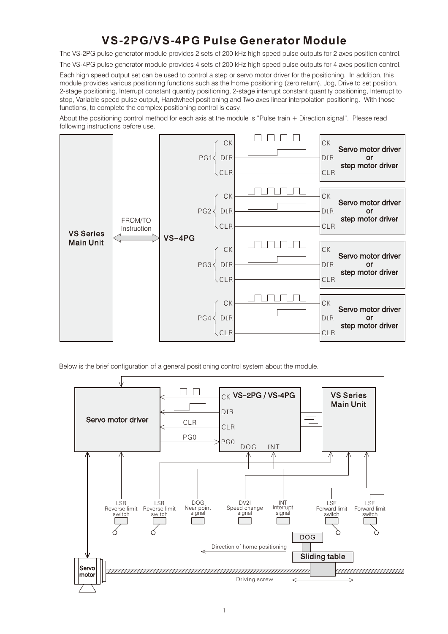# **VS-2PG/VS-4PG Pulse Generator Module**

The VS-2PG pulse generator module provides 2 sets of 200 kHz high speed pulse outputs for 2 axes position control.

The VS-4PG pulse generator module provides 4 sets of 200 kHz high speed pulse outputs for 4 axes position control.

Each high speed output set can be used to control a step or servo motor driver for the positioning. In addition, this module provides various positioning functions such as the Home positioning (zero return), Jog, Drive to set position, 2-stage positioning, Interrupt constant quantity positioning, 2-stage interrupt constant quantity positioning, Interrupt to stop, Variable speed pulse output, Handwheel positioning and Two axes linear interpolation positioning. With those functions, to complete the complex positioning control is easy.

About the positioning control method for each axis at the module is "Pulse train + Direction signal". Please read following instructions before use.



Below is the brief configuration of a general positioning control system about the module.

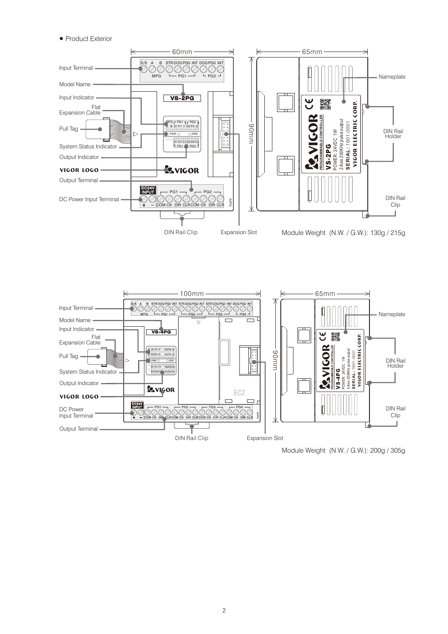### • Product Exterior





Module Weight (N.W. / G.W.): 200g / 305g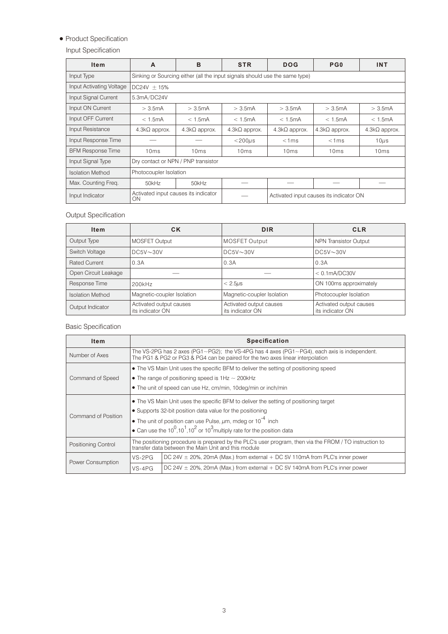# • Product Specification

# Input Specification

| <b>Item</b>              | A                                                                           | B                                   | <b>STR</b>           | <b>DOG</b>           | P G 0                                   | <b>INT</b>           |  |  |  |  |  |
|--------------------------|-----------------------------------------------------------------------------|-------------------------------------|----------------------|----------------------|-----------------------------------------|----------------------|--|--|--|--|--|
| Input Type               | Sinking or Sourcing either (all the input signals should use the same type) |                                     |                      |                      |                                         |                      |  |  |  |  |  |
| Input Activating Voltage | $DC24V + 15%$                                                               |                                     |                      |                      |                                         |                      |  |  |  |  |  |
| Input Signal Current     | 5.3mA/DC24V                                                                 |                                     |                      |                      |                                         |                      |  |  |  |  |  |
| Input ON Current         | $>$ 3.5 $mA$                                                                | $>$ 3.5 $mA$                        | $>$ 3.5mA            | $>$ 3.5mA            | $>$ 3.5 $mA$                            | $>$ 3.5 $mA$         |  |  |  |  |  |
| Input OFF Current        | $<$ 1.5mA                                                                   | $<$ 1.5mA                           | < 1.5mA              | < 1.5mA              | < 1.5mA                                 | < 1.5mA              |  |  |  |  |  |
| Input Resistance         | $4.3k\Omega$ approx.                                                        | $4.3k\Omega$ approx.                | $4.3k\Omega$ approx. | $4.3k\Omega$ approx. | $4.3k\Omega$ approx.                    | $4.3k\Omega$ approx. |  |  |  |  |  |
| Input Response Time      |                                                                             |                                     | $<$ 200 $\mu$ s      | < 1ms                | < 1ms                                   | $10\mu s$            |  |  |  |  |  |
| <b>BFM Response Time</b> | 10ms                                                                        | 10ms                                | 10ms                 | 10 <sub>ms</sub>     | 10 <sub>ms</sub>                        | 10ms                 |  |  |  |  |  |
| Input Signal Type        |                                                                             | Dry contact or NPN / PNP transistor |                      |                      |                                         |                      |  |  |  |  |  |
| <b>Isolation Method</b>  | Photocoupler Isolation                                                      |                                     |                      |                      |                                         |                      |  |  |  |  |  |
| Max. Counting Freq.      | 50kHz                                                                       | 50kHz                               |                      |                      |                                         |                      |  |  |  |  |  |
| Input Indicator          | Activated input causes its indicator<br>ΟN                                  |                                     |                      |                      | Activated input causes its indicator ON |                      |  |  |  |  |  |

# Output Specification

| <b>Item</b>                                                     | СK                         | <b>DIR</b>                                  |                                             |
|-----------------------------------------------------------------|----------------------------|---------------------------------------------|---------------------------------------------|
| Output Type                                                     | <b>MOSFET Output</b>       | MOSFET Output                               | <b>NPN Transistor Output</b>                |
| Switch Voltage                                                  | $DC5V \sim 30V$            | DC5V~30V                                    | $DC5V \sim 30V$                             |
| <b>Rated Current</b>                                            | 0.3A                       | 0.3A                                        | 0.3A                                        |
| Open Circuit Leakage                                            |                            |                                             | $< 0.1$ mA/DC30V                            |
| Response Time                                                   | 200kHz                     | $< 2.5 \mu s$                               | ON 100ms approximately                      |
| <b>Isolation Method</b>                                         | Magnetic-coupler Isolation | Magnetic-coupler Isolation                  | Photocoupler Isolation                      |
| Activated output causes<br>Output Indicator<br>its indicator ON |                            | Activated output causes<br>its indicator ON | Activated output causes<br>its indicator ON |

# Basic Specification

| <b>Item</b>         |                                                                                                                                                               | <b>Specification</b>                                                                                                                                                                        |  |  |  |  |  |  |
|---------------------|---------------------------------------------------------------------------------------------------------------------------------------------------------------|---------------------------------------------------------------------------------------------------------------------------------------------------------------------------------------------|--|--|--|--|--|--|
| Number of Axes      |                                                                                                                                                               | The VS-2PG has 2 axes (PG1 $\sim$ PG2); the VS-4PG has 4 axes (PG1 $\sim$ PG4), each axis is independent.<br>The PG1 & PG2 or PG3 & PG4 can be paired for the two axes linear interpolation |  |  |  |  |  |  |
|                     |                                                                                                                                                               | • The VS Main Unit uses the specific BFM to deliver the setting of positioning speed                                                                                                        |  |  |  |  |  |  |
| Command of Speed    |                                                                                                                                                               | • The range of positioning speed is $1Hz \sim 200kHz$                                                                                                                                       |  |  |  |  |  |  |
|                     | • The unit of speed can use Hz, cm/min, 10deg/min or inch/min                                                                                                 |                                                                                                                                                                                             |  |  |  |  |  |  |
|                     | • The VS Main Unit uses the specific BFM to deliver the setting of positioning target                                                                         |                                                                                                                                                                                             |  |  |  |  |  |  |
|                     | • Supports 32-bit position data value for the positioning                                                                                                     |                                                                                                                                                                                             |  |  |  |  |  |  |
| Command of Position | • The unit of position can use Pulse, $\mu$ m, mdeg or 10 <sup>-4</sup> inch                                                                                  |                                                                                                                                                                                             |  |  |  |  |  |  |
|                     | • Can use the $10^0, 10^1, 10^2$ or $10^3$ multiply rate for the position data                                                                                |                                                                                                                                                                                             |  |  |  |  |  |  |
| Positioning Control | The positioning procedure is prepared by the PLC's user program, then via the FROM / TO instruction to<br>transfer data between the Main Unit and this module |                                                                                                                                                                                             |  |  |  |  |  |  |
| Power Consumption   | $VS-2PG$                                                                                                                                                      | $DC$ 24V $\pm$ 20%, 20mA (Max.) from external $+DC$ 5V 110mA from PLC's inner power                                                                                                         |  |  |  |  |  |  |
|                     | $VS-4PG$                                                                                                                                                      | DC 24V $\pm$ 20%, 20mA (Max.) from external $+$ DC 5V 140mA from PLC's inner power                                                                                                          |  |  |  |  |  |  |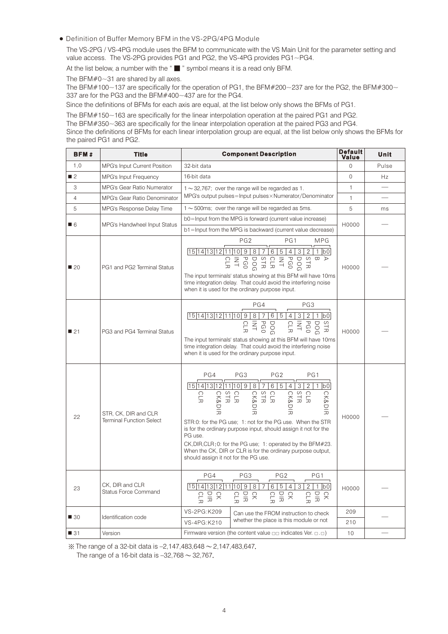Definition of Buffer Memory BFM in the VS-2PG/4PG Module

The VS-2PG / VS-4PG module uses the BFM to communicate with the VS Main Unit for the parameter setting and value access. The VS-2PG provides PG1 and PG2, the VS-4PG provides PG1~PG4.

At the list below, a number with the "■" symbol means it is a read only BFM.

The BFM $#0~1$  are shared by all axes.

The BFM#100~137 are specifically for the operation of PG1, the BFM#200~237 are for the PG2, the BFM#300~ 337 are for the PG3 and the BFM#400~437 are for the PG4.

Since the definitions of BFMs for each axis are equal, at the list below only shows the BFMs of PG1.

The BFM#150~163 are specifically for the linear interpolation operation at the paired PG1 and PG2.

The BFM#350~363 are specifically for the linear interpolation operation at the paired PG3 and PG4.

Since the definitions of BFMs for each linear interpolation group are equal, at the list below only shows the BFMs for the paired PG1 and PG2.

| BFM#              | <b>Title</b>                                            | <b>Component Description</b>                                                                                                                                                                                                                                                                                                                                                                                                                            | Default<br>Value | Unit  |
|-------------------|---------------------------------------------------------|---------------------------------------------------------------------------------------------------------------------------------------------------------------------------------------------------------------------------------------------------------------------------------------------------------------------------------------------------------------------------------------------------------------------------------------------------------|------------------|-------|
| 1.0               | MPG's Input Current Position                            | 32-bit data                                                                                                                                                                                                                                                                                                                                                                                                                                             | $\Omega$         | Pulse |
| $\blacksquare$ 2  | <b>MPG's Input Frequency</b>                            | 16-bit data                                                                                                                                                                                                                                                                                                                                                                                                                                             | $\mathbf{0}$     | Hz    |
| 3                 | <b>MPG's Gear Ratio Numerator</b>                       | $1 \sim 32,767$ ; over the range will be regarded as 1.                                                                                                                                                                                                                                                                                                                                                                                                 | $\mathbf{1}$     |       |
| $\overline{4}$    | <b>MPG's Gear Ratio Denominator</b>                     | MPG's output pulses=Input pulses×Numerator/Denominator                                                                                                                                                                                                                                                                                                                                                                                                  | $\mathbf{1}$     |       |
| 5                 | MPG's Response Delay Time                               | $1 \sim 500$ ms; over the range will be regarded as 5 ms.                                                                                                                                                                                                                                                                                                                                                                                               | 5                | ms    |
|                   |                                                         | b0=Input from the MPG is forward (current value increase)                                                                                                                                                                                                                                                                                                                                                                                               | H0000            |       |
| $\blacksquare$ 6  | MPG's Handwheel Input Status                            | b1=Input from the MPG is backward (current value decrease)                                                                                                                                                                                                                                                                                                                                                                                              |                  |       |
| $\blacksquare$ 20 | PG1 and PG2 Terminal Status                             | PG <sub>2</sub><br>PG1<br><b>MPG</b><br>15 14 13 12 11 10 9 8 76 5 43 2 1 b0<br>The input terminals' status showing at this BFM will have 10ms<br>time integration delay. That could avoid the interfering noise<br>when it is used for the ordinary purpose input.                                                                                                                                                                                     | H0000            |       |
| 21                | PG3 and PG4 Terminal Status                             | PG4<br>PG3<br>15 14 13 12 11 10 9 8 7<br>6<br>5 4<br>3 <sup>1</sup><br>2 <br> b0 <br>The input terminals' status showing at this BFM will have 10ms<br>time integration delay. That could avoid the interfering noise<br>when it is used for the ordinary purpose input.                                                                                                                                                                                | H0000            |       |
| 22                | STR, CK, DIR and CLR<br><b>Terminal Function Select</b> | PG4<br>PG3<br>PG <sub>2</sub><br>PG1<br>$\frac{1}{15 14 13 12 11 10 9 8 7 6 5 4 3 }$<br>2 1 b0<br><b>CLR</b><br><b>CK&amp;DI</b><br>굿<br>STR:0: for the PG use; 1: not for the PG use. When the STR<br>is for the ordinary purpose input, should assign it not for the<br>PG use.<br>CK, DIR, CLR: 0: for the PG use; 1: operated by the BFM#23.<br>When the CK, DIR or CLR is for the ordinary purpose output,<br>should assign it not for the PG use. | H0000            |       |
| 23                | CK, DIR and CLR<br><b>Status Force Command</b>          | PG4<br>PG3<br>PG <sub>2</sub><br>PG1<br>15 14 13 12 11 10 9 87<br>6<br>5 <sup>1</sup><br>4 <br>$\overline{2}$<br>3<br>$1$ $ b0 $<br>S m E S<br>SE E E<br>CLR<br>있는<br><b>CLR</b><br>요 이 도                                                                                                                                                                                                                                                               | H0000            |       |
| ■ 30              |                                                         | VS-2PG:K209<br>Can use the FROM instruction to check                                                                                                                                                                                                                                                                                                                                                                                                    | 209              |       |
|                   | Identification code                                     | whether the place is this module or not<br>VS-4PG:K210                                                                                                                                                                                                                                                                                                                                                                                                  | 210              |       |
| ■ 31              | Version                                                 | Firmware version (the content value $\Box \Box$ indicates Ver. $\Box \Box$ )                                                                                                                                                                                                                                                                                                                                                                            | 10               |       |

※The range of a 32-bit data is –2,147,483,648〜2,147,483,647.

The range of a 16-bit data is  $-32,768 \sim 32,767$ .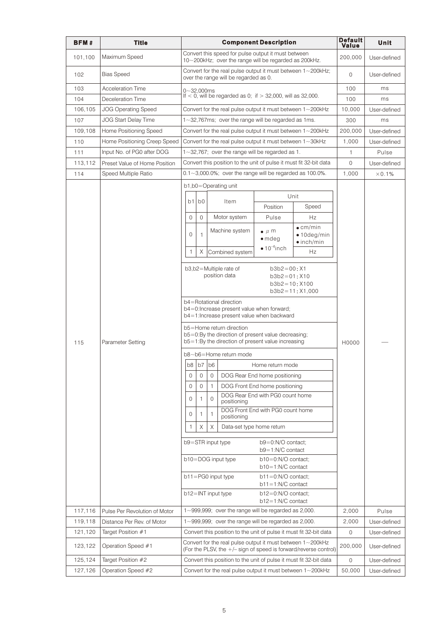| <b>BFM#</b> | Title                         | <b>Component Description</b>                                                                                      |                                                                      |              |                                                                                                           |                                                                                                              | Default<br>Value                                                   | Unit           |               |
|-------------|-------------------------------|-------------------------------------------------------------------------------------------------------------------|----------------------------------------------------------------------|--------------|-----------------------------------------------------------------------------------------------------------|--------------------------------------------------------------------------------------------------------------|--------------------------------------------------------------------|----------------|---------------|
| 101,100     | Maximum Speed                 |                                                                                                                   |                                                                      |              |                                                                                                           | Convert this speed for pulse output it must between<br>10~200kHz; over the range will be regarded as 200kHz. |                                                                    | 200,000        | User-defined  |
| 102         | <b>Bias Speed</b>             |                                                                                                                   |                                                                      |              | Convert for the real pulse output it must between $1 - 200$ kHz;<br>over the range will be regarded as 0. | $\mathbf{0}$                                                                                                 | User-defined                                                       |                |               |
| 103         | <b>Acceleration Time</b>      |                                                                                                                   | $0 - 32,000$ ms                                                      |              |                                                                                                           |                                                                                                              |                                                                    |                | ms            |
| 104         | Deceleration Time             |                                                                                                                   | If $<$ 0, will be regarded as 0; if $>$ 32,000, will as 32,000.      |              |                                                                                                           |                                                                                                              |                                                                    |                | ms            |
| 106,105     | <b>JOG Operating Speed</b>    |                                                                                                                   |                                                                      |              |                                                                                                           | Convert for the real pulse output it must between $1 - 200$ kHz                                              |                                                                    | 10,000         | User-defined  |
| 107         | <b>JOG Start Delay Time</b>   |                                                                                                                   |                                                                      |              |                                                                                                           | $1 - 32,767$ ms; over the range will be regarded as 1 ms.                                                    |                                                                    | 300            | ms            |
| 109,108     | Home Positioning Speed        |                                                                                                                   |                                                                      |              |                                                                                                           | Convert for the real pulse output it must between 1~200kHz                                                   |                                                                    | 200,000        | User-defined  |
| 110         | Home Positioning Creep Speed  |                                                                                                                   |                                                                      |              |                                                                                                           | Convert for the real pulse output it must between $1 - 30$ kHz                                               |                                                                    | 1,000          | User-defined  |
| 111         | Input No. of PG0 after DOG    |                                                                                                                   |                                                                      |              |                                                                                                           | $1 \sim 32,767$ ; over the range will be regarded as 1.                                                      |                                                                    | $\mathbf{1}$   | Pulse         |
| 113,112     | Preset Value of Home Position |                                                                                                                   |                                                                      |              |                                                                                                           | Convert this position to the unit of pulse it must fit 32-bit data                                           |                                                                    | $\circ$        | User-defined  |
| 114         | Speed Multiple Ratio          |                                                                                                                   |                                                                      |              |                                                                                                           | $0.1 - 3,000.0\%$ ; over the range will be regarded as 100.0%.                                               |                                                                    | 1,000          | $\times$ 0.1% |
|             |                               |                                                                                                                   |                                                                      |              | b1,b0=Operating unit                                                                                      |                                                                                                              |                                                                    |                |               |
|             |                               |                                                                                                                   |                                                                      |              |                                                                                                           | Unit                                                                                                         |                                                                    |                |               |
|             |                               | b <sub>1</sub>                                                                                                    | b <sub>0</sub>                                                       |              | Item                                                                                                      | Position                                                                                                     | Speed                                                              |                |               |
|             |                               | $\mathbf{0}$                                                                                                      | $\mathbf{0}$                                                         |              | Motor system                                                                                              | Pulse                                                                                                        | Hz                                                                 |                |               |
|             |                               |                                                                                                                   |                                                                      |              | Machine system                                                                                            | $\bullet$ $\mu$ m                                                                                            | $\bullet$ cm/min                                                   |                |               |
|             |                               | $\Omega$                                                                                                          |                                                                      |              |                                                                                                           | $\bullet$ mdeg                                                                                               | $\bullet$ 10deg/min<br>$\bullet$ inch/min                          |                |               |
|             |                               | 1                                                                                                                 | Χ                                                                    |              |                                                                                                           | $• 10-4 inch$                                                                                                | Hz                                                                 |                |               |
|             |                               |                                                                                                                   |                                                                      |              | Combined system                                                                                           |                                                                                                              |                                                                    |                |               |
|             |                               |                                                                                                                   | b3,b2=Multiple rate of<br>$b3b2=00; X1$                              |              |                                                                                                           |                                                                                                              |                                                                    |                |               |
|             |                               | position data<br>$b3b2=01:$ X10                                                                                   |                                                                      |              |                                                                                                           |                                                                                                              |                                                                    |                |               |
|             |                               | $b3b2 = 10; X100$<br>$b3b2 = 11: X1,000$                                                                          |                                                                      |              |                                                                                                           |                                                                                                              |                                                                    |                |               |
|             |                               | b4=Rotational direction                                                                                           |                                                                      |              |                                                                                                           |                                                                                                              |                                                                    |                |               |
|             |                               | b4=0:Increase present value when forward;<br>b4=1: Increase present value when backward                           |                                                                      |              |                                                                                                           |                                                                                                              |                                                                    |                |               |
|             |                               |                                                                                                                   | b5=Home return direction                                             |              |                                                                                                           |                                                                                                              |                                                                    |                |               |
|             |                               | $b5=0$ : By the direction of present value decreasing;<br>$b5 = 1$ : By the direction of present value increasing |                                                                      |              |                                                                                                           |                                                                                                              |                                                                    |                |               |
| 115         | Parameter Setting             |                                                                                                                   |                                                                      |              |                                                                                                           |                                                                                                              |                                                                    | H0000          |               |
|             |                               | b8~b6=Home return mode                                                                                            |                                                                      |              |                                                                                                           |                                                                                                              |                                                                    |                |               |
|             |                               | b8                                                                                                                |                                                                      | $b7$ $b6$    |                                                                                                           | Home return mode                                                                                             |                                                                    |                |               |
|             |                               | 0                                                                                                                 | 0                                                                    | $\mathbf 0$  |                                                                                                           | DOG Rear End home positioning                                                                                |                                                                    |                |               |
|             |                               | 0                                                                                                                 | 0                                                                    | 1            |                                                                                                           | DOG Front End home positioning                                                                               |                                                                    |                |               |
|             |                               | 0                                                                                                                 | 1                                                                    | $\mathbf{0}$ | positioning                                                                                               | DOG Rear End with PG0 count home                                                                             |                                                                    |                |               |
|             |                               | 0                                                                                                                 | 1                                                                    | 1            | positioning                                                                                               | DOG Front End with PG0 count home                                                                            |                                                                    |                |               |
|             |                               | 1                                                                                                                 | Χ                                                                    | Χ            | Data-set type home return                                                                                 |                                                                                                              |                                                                    |                |               |
|             |                               |                                                                                                                   | b9=STR input type<br>b9=0:N/O contact;                               |              |                                                                                                           |                                                                                                              |                                                                    |                |               |
|             |                               |                                                                                                                   | $b9 = 1:N/C$ contact<br>b10=0:N/O contact;<br>$b10 = DOG$ input type |              |                                                                                                           |                                                                                                              |                                                                    |                |               |
|             |                               | $b10=1:N/C$ contact<br>b11=PG0 input type<br>$b11=0:N/O$ contact;                                                 |                                                                      |              |                                                                                                           |                                                                                                              |                                                                    |                |               |
|             |                               |                                                                                                                   |                                                                      |              |                                                                                                           | $b11 = 1:N/C$ contact                                                                                        |                                                                    |                |               |
|             |                               |                                                                                                                   | b12=INT input type<br>$b12=0:N/O$ contact;<br>b12=1:N/C contact      |              |                                                                                                           |                                                                                                              |                                                                    |                |               |
| 117,116     | Pulse Per Revolution of Motor | $1 - 999,999$ ; over the range will be regarded as 2,000.                                                         |                                                                      |              |                                                                                                           |                                                                                                              |                                                                    | 2,000          | Pulse         |
| 119,118     | Distance Per Rev. of Motor    |                                                                                                                   |                                                                      |              |                                                                                                           | $1 \sim 999,999$ ; over the range will be regarded as 2,000.                                                 |                                                                    | 2,000          | User-defined  |
| 121,120     | Target Position #1            |                                                                                                                   |                                                                      |              |                                                                                                           | Convert this position to the unit of pulse it must fit 32-bit data                                           |                                                                    | 0              | User-defined  |
| 123,122     | Operation Speed #1            |                                                                                                                   |                                                                      |              |                                                                                                           | Convert for the real pulse output it must between 1~200kHz                                                   | (For the PLSV, the $+/-$ sign of speed is forward/reverse control) | 200,000        | User-defined  |
| 125,124     | Target Position #2            |                                                                                                                   |                                                                      |              |                                                                                                           | Convert this position to the unit of pulse it must fit 32-bit data                                           |                                                                    | $\overline{0}$ | User-defined  |
| 127,126     | Operation Speed #2            |                                                                                                                   |                                                                      |              |                                                                                                           | Convert for the real pulse output it must between $1 - 200$ kHz                                              |                                                                    | 50,000         | User-defined  |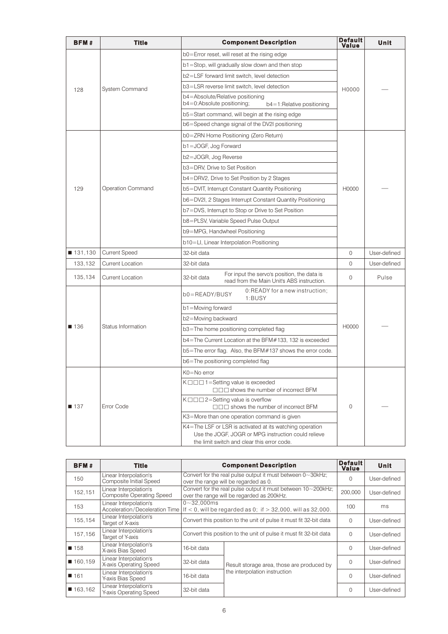| <b>BFM#</b> | Title                   | <b>Component Description</b>                                                                                                                                   | Default<br>Value | Unit         |
|-------------|-------------------------|----------------------------------------------------------------------------------------------------------------------------------------------------------------|------------------|--------------|
|             |                         | b0=Error reset, will reset at the rising edge                                                                                                                  |                  |              |
|             |                         | b1=Stop, will gradually slow down and then stop                                                                                                                |                  |              |
|             |                         | b2=LSF forward limit switch, level detection                                                                                                                   |                  |              |
| 128         | System Command          | b3=LSR reverse limit switch, level detection                                                                                                                   | H0000            |              |
|             |                         | b4=Absolute/Relative positioning<br>b4=0:Absolute positioning;<br>$b4 = 1$ : Relative positioning                                                              |                  |              |
|             |                         | b5=Start command, will begin at the rising edge                                                                                                                |                  |              |
|             |                         | b6=Speed change signal of the DV2I positioning                                                                                                                 |                  |              |
|             |                         | b0=ZRN Home Positioning (Zero Return)                                                                                                                          |                  |              |
|             |                         | b1=JOGF, Jog Forward                                                                                                                                           |                  |              |
|             |                         | b2=JOGR, Jog Reverse                                                                                                                                           |                  |              |
|             |                         | b3=DRV, Drive to Set Position                                                                                                                                  |                  |              |
|             |                         | b4=DRV2, Drive to Set Position by 2 Stages                                                                                                                     |                  |              |
| 129         | Operation Command       | b5=DVIT, Interrupt Constant Quantity Positioning                                                                                                               | H0000            |              |
|             |                         | b6=DV2I, 2 Stages Interrupt Constant Quantity Positioning                                                                                                      |                  |              |
|             |                         | b7=DVS, Interrupt to Stop or Drive to Set Position                                                                                                             |                  |              |
|             |                         | b8=PLSV, Variable Speed Pulse Output                                                                                                                           |                  |              |
|             |                         | b9=MPG, Handwheel Positioning                                                                                                                                  |                  |              |
|             |                         | b10=LI, Linear Interpolation Positioning                                                                                                                       |                  |              |
| ■ 131,130   | <b>Current Speed</b>    | 32-bit data                                                                                                                                                    | $\overline{0}$   | User-defined |
| 133,132     | <b>Current Location</b> | 32-bit data                                                                                                                                                    | $\overline{0}$   | User-defined |
| 135,134     | <b>Current Location</b> | For input the servo's position, the data is<br>32-bit data<br>read from the Main Unit's ABS instruction.                                                       | 0                | Pulse        |
|             |                         | 0:READY for a new instruction;<br>$b0 = READV/BUSY$<br>1:BUSY                                                                                                  |                  |              |
|             |                         | b1=Moving forward                                                                                                                                              |                  |              |
|             |                         | b2=Moving backward                                                                                                                                             |                  |              |
| ■ 136       | Status Information      | b3=The home positioning completed flag                                                                                                                         | H0000            |              |
|             |                         | b4=The Current Location at the BFM#133, 132 is exceeded                                                                                                        |                  |              |
|             |                         | b5=The error flag. Also, the BFM#137 shows the error code.                                                                                                     |                  |              |
|             |                         | b6=The positioning completed flag                                                                                                                              |                  |              |
|             |                         | K0=No error                                                                                                                                                    |                  |              |
|             |                         | K $\Box$ $\Box$ 1 = Setting value is exceeded<br>□□□ shows the number of incorrect BFM                                                                         |                  |              |
| ■ 137       | Error Code              | $K \square \square \square$ 2=Setting value is overflow<br>$\Box \Box \Box$ shows the number of incorrect BFM                                                  | $\Omega$         |              |
|             |                         | K3=More than one operation command is given                                                                                                                    |                  |              |
|             |                         | K4=The LSF or LSR is activated at its watching operation<br>Use the JOGF, JOGR or MPG instruction could relieve<br>the limit switch and clear this error code. |                  |              |

| BFM#      | Title                                                                                                                      | <b>Component Description</b>                                       | <b>Default</b><br>Value                                                                                     | Unit     |              |
|-----------|----------------------------------------------------------------------------------------------------------------------------|--------------------------------------------------------------------|-------------------------------------------------------------------------------------------------------------|----------|--------------|
| 150       | Linear Interpolation's<br>Composite Initial Speed                                                                          |                                                                    | Convert for the real pulse output it must between $0 \sim 30$ kHz;<br>over the range will be regarded as 0. | $\Omega$ | User-defined |
| 152,151   | Linear Interpolation's<br><b>Composite Operating Speed</b>                                                                 |                                                                    | Convert for the real pulse output it must between 10~200kHz;<br>over the range will be regarded as 200kHz.  | 200.000  | User-defined |
| 153       | Linear Interpolation's<br>Acceleration/Deceleration Time   If $<$ 0, will be regarded as 0; if $>$ 32,000, will as 32,000. | $0 - 32.000$ ms                                                    | 100                                                                                                         | ms       |              |
| 155,154   | Linear Interpolation's<br>Target of X-axis                                                                                 | Convert this position to the unit of pulse it must fit 32-bit data |                                                                                                             | $\Omega$ | User-defined |
| 157,156   | Linear Interpolation's<br>Target of Y-axis                                                                                 | Convert this position to the unit of pulse it must fit 32-bit data |                                                                                                             |          | User-defined |
| ■ 158     | Linear Interpolation's<br>X-axis Bias Speed                                                                                | 16-bit data                                                        |                                                                                                             |          | User-defined |
| ■ 160,159 | Linear Interpolation's<br>X-axis Operating Speed                                                                           | 32-bit data                                                        | Result storage area, those are produced by                                                                  | $\Omega$ | User-defined |
| 161       | Linear Interpolation's<br>Y-axis Bias Speed                                                                                | the interpolation instruction<br>16-bit data                       |                                                                                                             | $\Omega$ | User-defined |
| ■ 163,162 | Linear Interpolation's<br>Y-axis Operating Speed                                                                           | 32-bit data                                                        |                                                                                                             | $\Omega$ | User-defined |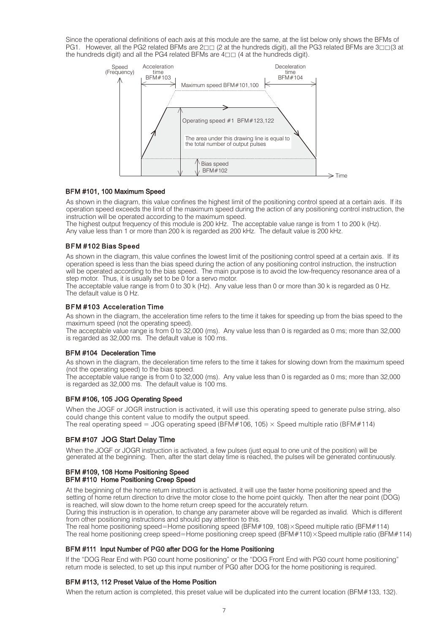Since the operational definitions of each axis at this module are the same, at the list below only shows the BFMs of PG1. However, all the PG2 related BFMs are  $2□□$  (2 at the hundreds digit), all the PG3 related BFMs are  $3□□$ (3 at the hundreds digit) and all the PG4 related BFMs are  $4\square\square$  (4 at the hundreds digit).



#### BFM #101, 100 Maximum Speed

As shown in the diagram, this value confines the highest limit of the positioning control speed at a certain axis. If its operation speed exceeds the limit of the maximum speed during the action of any positioning control instruction, the instruction will be operated according to the maximum speed.

The highest output frequency of this module is 200 kHz. The acceptable value range is from 1 to 200 k (Hz). Any value less than 1 or more than 200 k is regarded as 200 kHz. The default value is 200 kHz.

#### BFM #102 Bias Speed

As shown in the diagram, this value confines the lowest limit of the positioning control speed at a certain axis. If its operation speed is less than the bias speed during the action of any positioning control instruction, the instruction will be operated according to the bias speed. The main purpose is to avoid the low-frequency resonance area of a step motor. Thus, it is usually set to be 0 for a servo motor.

The acceptable value range is from 0 to 30 k (Hz). Any value less than 0 or more than 30 k is regarded as 0 Hz. The default value is 0 Hz.

#### BFM #103 Acceleration Time

As shown in the diagram, the acceleration time refers to the time it takes for speeding up from the bias speed to the maximum speed (not the operating speed).

The acceptable value range is from 0 to 32,000 (ms). Any value less than 0 is regarded as 0 ms; more than 32,000 is regarded as 32,000 ms. The default value is 100 ms.

#### BFM #104 Deceleration Time

As shown in the diagram, the deceleration time refers to the time it takes for slowing down from the maximum speed (not the operating speed) to the bias speed.

The acceptable value range is from 0 to 32,000 (ms). Any value less than 0 is regarded as 0 ms; more than 32,000 is regarded as 32,000 ms. The default value is 100 ms.

#### BFM #106, 105 JOG Operating Speed

When the JOGF or JOGR instruction is activated, it will use this operating speed to generate pulse string, also could change this content value to modify the output speed. The real operating speed = JOG operating speed (BFM#106, 105)  $\times$  Speed multiple ratio (BFM#114)

#### BFM #107 JOG Start Delay Time

When the JOGF or JOGR instruction is activated, a few pulses (just equal to one unit of the position) will be generated at the beginning. Then, after the start delay time is reached, the pulses will be generated continuously.

#### BFM #109, 108 Home Positioning Speed BFM #110 Home Positioning Creep Speed

At the beginning of the home return instruction is activated, it will use the faster home positioning speed and the setting of home return direction to drive the motor close to the home point quickly. Then after the near point (DOG) is reached, will slow down to the home return creep speed for the accurately return.

During this instruction is in operation, to change any parameter above will be regarded as invalid. Which is different from other positioning instructions and should pay attention to this.

The real home positioning speed=Home positioning speed (BFM#109, 108)×Speed multiple ratio (BFM#114) The real home positioning creep speed=Home positioning creep speed ( $BFM#110$ )×Speed multiple ratio ( $BFM#114$ )

#### BFM #111 Input Number of PG0 after DOG for the Home Positioning

If the "DOG Rear End with PG0 count home positioning" or the "DOG Front End with PG0 count home positioning" return mode is selected, to set up this input number of PG0 after DOG for the home positioning is required.

#### BFM #113, 112 Preset Value of the Home Position

When the return action is completed, this preset value will be duplicated into the current location (BFM#133, 132).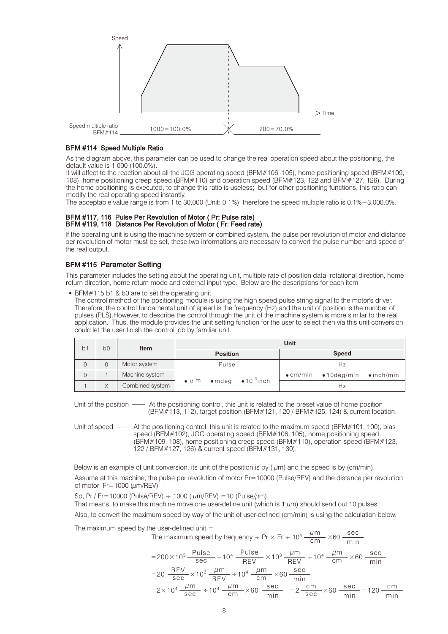

#### BFM #114 Speed Multiple Ratio

As the diagram above, this parameter can be used to change the real operation speed about the positioning, the default value is 1,000 (100.0%).

It will affect to the reaction about all the JOG operating speed (BFM#106, 105), home positioning speed (BFM#109, 108), home positioning creep speed (BFM#110) and operation speed (BFM#123, 122 and BFM#127, 126). During the home positioning is executed, to change this ratio is useless; but for other positioning functions, this ratio can modify the real operating speed instantly.

The acceptable value range is from 1 to 30,000 (Unit: 0.1%), therefore the speed multiple ratio is 0.1%~3,000.0%.

#### BFM #117, 116 Pulse Per Revolution of Motor ( Pr: Pulse rate) BFM #119, 118 Distance Per Revolution of Motor ( Fr: Feed rate)

If the operating unit is using the machine system or combined system, the pulse per revolution of motor and distance per revolution of motor must be set, these two informations are necessary to convert the pulse number and speed of the real output.

# BFM #115 Parameter Setting

This parameter includes the setting about the operating unit, multiple rate of position data, rotational direction, home return direction, home return mode and external input type. Below are the descriptions for each item.

BFM#115 b1 & b0 are to set the operating unit

The control method of the positioning module is using the high speed pulse string signal to the motor's driver. Therefore, the control fundamental unit of speed is the frequency (Hz) and the unit of position is the number of pulses (PLS).However, to describe the control through the unit of the machine system is more similar to the real application. Thus, the module provides the unit setting function for the user to select then via this unit conversion could let the user finish the control job by familiar unit.

|                                |  |                 | Unit              |  |                                                |              |                                                          |  |  |
|--------------------------------|--|-----------------|-------------------|--|------------------------------------------------|--------------|----------------------------------------------------------|--|--|
| b <sub>0</sub><br>$b^{\prime}$ |  | Item            | <b>Position</b>   |  |                                                | <b>Speed</b> |                                                          |  |  |
|                                |  | Motor system    | Pulse             |  |                                                |              | Hz                                                       |  |  |
|                                |  | Machine system  |                   |  | $\bullet$ mdeg $\bullet$ 10 <sup>-4</sup> inch |              | $\bullet$ cm/min $\bullet$ 10 deg/min $\bullet$ inch/min |  |  |
|                                |  | Combined system | $\bullet$ $\mu$ m |  |                                                |              | Ηz                                                       |  |  |

Unit of the position  $\longrightarrow$  At the positioning control, this unit is related to the preset value of home position (BFM#113, 112), target position (BFM#121, 120 / BFM#125, 124) & current location.

Unit of speed  $\longrightarrow$  At the positioning control, this unit is related to the maximum speed (BFM#101, 100), bias speed (BFM#102), JOG operating speed (BFM#106, 105), home positioning speed (BFM#109, 108), home positioning creep speed (BFM#110), operation speed (BFM#123, 122 / BFM#127, 126) & current speed (BFM#131, 130).

Below is an example of unit conversion, its unit of the position is by  $(\mu m)$  and the speed is by  $(\text{cm/min})$ .

Assume at this machine, the pulse per revolution of motor Pr=10000 (Pulse/REV) and the distance per revolution of motor  $Fr = 1000$  ( $\mu$ m/REV)

So, Pr / Fr=10000 (Pulse/REV)  $\div$  1000 ( $\mu$ m/REV) =10 (Pulse/ $\mu$ m)

That means, to make this machine move one user-define unit (which is 1  $\mu$ m) should send out 10 pulses.

Also, to convert the maximum speed by way of the unit of user-defined (cm/min) is using the calculation below.

The maximum speed by the user-defined unit  $=$ 

The maximum speed by frequency 
$$
\div
$$
 Pr x Fr  $\div$  10<sup>4</sup>  $\frac{\mu \text{m}}{\text{cm}} \times 60 \frac{\text{sec}}{\text{min}}$   
\n=200×10<sup>3</sup>  $\frac{\text{Pulse}}{\text{sec}} \div 10^4 \frac{\text{Pulse}}{\text{REV}} \times 10^3 \frac{\mu \text{m}}{\text{REV}} \div 10^4 \frac{\mu \text{m}}{\text{cm}} \times 60 \frac{\text{sec}}{\text{min}}$   
\n=20  $\frac{\text{REV}}{\text{sec}} \times 10^3 \frac{\mu \text{m}}{\text{REV}} \div 10^4 \frac{\mu \text{m}}{\text{cm}} \times 60 \frac{\text{sec}}{\text{min}}$   
\n=2×10<sup>4</sup>  $\frac{\mu \text{m}}{\text{sec}} \div 10^4 \frac{\mu \text{m}}{\text{cm}} \times 60 \frac{\text{sec}}{\text{min}} = 2 \frac{\text{cm}}{\text{sec}} \times 60 \frac{\text{sec}}{\text{min}} = 120 \frac{\text{cm}}{\text{min}}$ 

 $\mu$ m

sec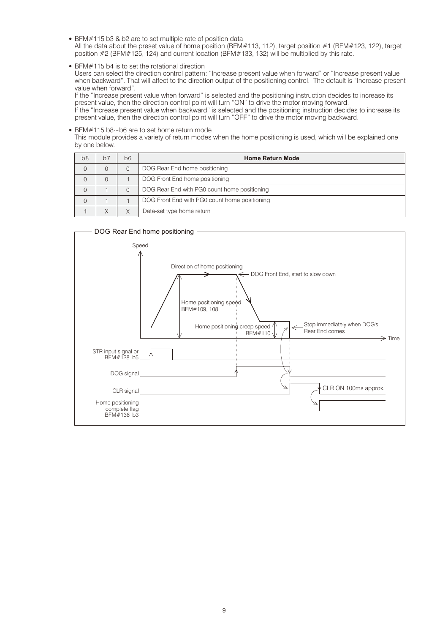- BFM#115 b3 & b2 are to set multiple rate of position data All the data about the preset value of home position (BFM#113, 112), target position #1 (BFM#123, 122), target position #2 (BFM#125, 124) and current location (BFM#133, 132) will be multiplied by this rate.
- BFM#115 b4 is to set the rotational direction

Users can select the direction control pattern: "Increase present value when forward" or "Increase present value when backward". That will affect to the direction output of the positioning control. The default is "Increase present value when forward".

If the "Increase present value when forward" is selected and the positioning instruction decides to increase its present value, then the direction control point will turn "ON" to drive the motor moving forward.

If the "Increase present value when backward" is selected and the positioning instruction decides to increase its present value, then the direction control point will turn "OFF" to drive the motor moving backward.

#### BFM#115 b8~b6 are to set home return mode

This module provides a variety of return modes when the home positioning is used, which will be explained one by one below.

| b <sub>8</sub> | $b\bar{z}$ | b6 | <b>Home Return Mode</b>                       |  |  |  |
|----------------|------------|----|-----------------------------------------------|--|--|--|
| 0              |            |    | DOG Rear End home positioning                 |  |  |  |
|                |            |    | DOG Front End home positioning                |  |  |  |
| 0              |            |    | DOG Rear End with PG0 count home positioning  |  |  |  |
| 0              |            |    | DOG Front End with PG0 count home positioning |  |  |  |
|                |            |    | Data-set type home return                     |  |  |  |

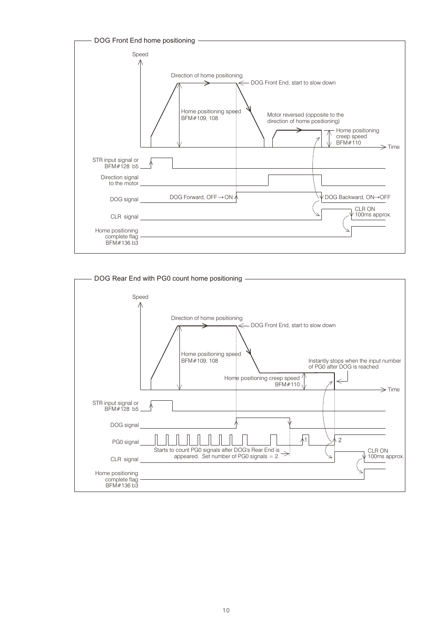

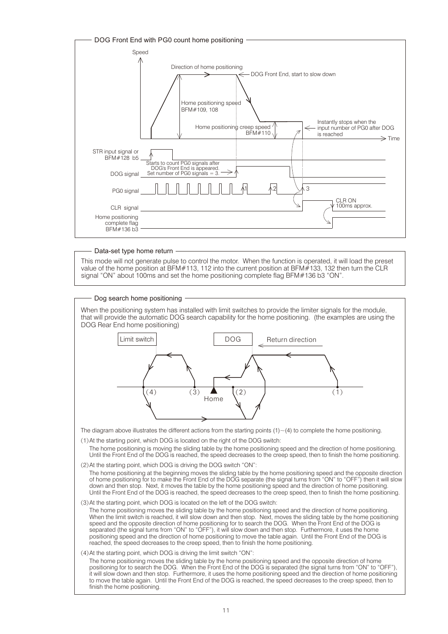

#### Data-set type home return

This mode will not generate pulse to control the motor. When the function is operated, it will load the preset value of the home position at BFM#113, 112 into the current position at BFM#133, 132 then turn the CLR signal "ON" about 100ms and set the home positioning complete flag BFM#136 b3 "ON".

Dog search home positioning

When the positioning system has installed with limit switches to provide the limiter signals for the module, that will provide the automatic DOG search capability for the home positioning. (the examples are using the DOG Rear End home positioning)



The diagram above illustrates the different actions from the starting points  $(1)$   $\sim$  (4) to complete the home positioning.

(1)At the starting point, which DOG is located on the right of the DOG switch:

The home positioning is moving the sliding table by the home positioning speed and the direction of home positioning. Until the Front End of the DOG is reached, the speed decreases to the creep speed, then to finish the home positioning.

(2)At the starting point, which DOG is driving the DOG switch "ON":

The home positioning at the beginning moves the sliding table by the home positioning speed and the opposite direction of home positioning for to make the Front End of the DOG separate (the signal turns from "ON" to "OFF") then it will slow down and then stop. Next, it moves the table by the home positioning speed and the direction of home positioning. Until the Front End of the DOG is reached, the speed decreases to the creep speed, then to finish the home positioning.

(3)At the starting point, which DOG is located on the left of the DOG switch:

The home positioning moves the sliding table by the home positioning speed and the direction of home positioning. When the limit switch is reached, it will slow down and then stop. Next, moves the sliding table by the home positioning speed and the opposite direction of home positioning for to search the DOG. When the Front End of the DOG is separated (the signal turns from "ON" to "OFF"), it will slow down and then stop. Furthermore, it uses the home positioning speed and the direction of home positioning to move the table again. Until the Front End of the DOG is reached, the speed decreases to the creep speed, then to finish the home positioning.

(4)At the starting point, which DOG is driving the limit switch "ON":

The home positioning moves the sliding table by the home positioning speed and the opposite direction of home positioning for to search the DOG. When the Front End of the DOG is separated (the signal turns from "ON" to "OFF"), it will slow down and then stop. Furthermore, it uses the home positioning speed and the direction of home positioning to move the table again. Until the Front End of the DOG is reached, the speed decreases to the creep speed, then to finish the home positioning.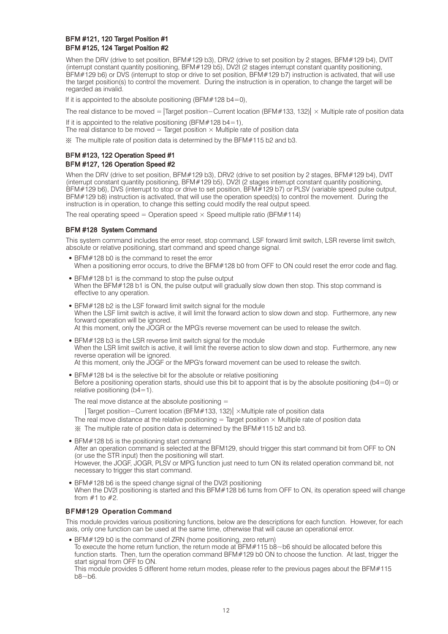## BFM #121, 120 Target Position #1 BFM #125, 124 Target Position #2

When the DRV (drive to set position, BFM#129 b3), DRV2 (drive to set position by 2 stages, BFM#129 b4), DVIT (interrupt constant quantity positioning, BFM#129 b5), DV2I (2 stages interrupt constant quantity positioning, BFM#129 b6) or DVS (interrupt to stop or drive to set position, BFM#129 b7) instruction is activated, that will use the target position(s) to control the movement. During the instruction is in operation, to change the target will be regarded as invalid.

If it is appointed to the absolute positioning (BFM#128 b4=0),

The real distance to be moved =  $\text{Target position}-\text{Current location (BFM#133, 132)} \times \text{Multiple rate of position data}$ 

If it is appointed to the relative positioning (BFM $#128$  b4=1),

The real distance to be moved = Target position  $\times$  Multiple rate of position data

※ The multiple rate of position data is determined by the BFM#115 b2 and b3.

#### BFM #123, 122 Operation Speed #1 BFM #127, 126 Operation Speed #2

When the DRV (drive to set position, BFM#129 b3), DRV2 (drive to set position by 2 stages, BFM#129 b4), DVIT (interrupt constant quantity positioning, BFM#129 b5), DV2I (2 stages interrupt constant quantity positioning, BFM#129 b6), DVS (interrupt to stop or drive to set position, BFM#129 b7) or PLSV (variable speed pulse output, BFM#129 b8) instruction is activated, that will use the operation speed(s) to control the movement. During the instruction is in operation, to change this setting could modify the real output speed.

The real operating speed = Operation speed  $\times$  Speed multiple ratio (BFM#114)

### BFM #128 System Command

This system command includes the error reset, stop command, LSF forward limit switch, LSR reverse limit switch, absolute or relative positioning, start command and speed change signal.

- BFM#128 b0 is the command to reset the error When a positioning error occurs, to drive the BFM#128 b0 from OFF to ON could reset the error code and flag.
- BFM#128 b1 is the command to stop the pulse output When the BFM#128 b1 is ON, the pulse output will gradually slow down then stop. This stop command is effective to any operation.
- BFM#128 b2 is the LSF forward limit switch signal for the module When the LSF limit switch is active, it will limit the forward action to slow down and stop. Furthermore, any new forward operation will be ignored. At this moment, only the JOGR or the MPG's reverse movement can be used to release the switch.
- BFM#128 b3 is the LSR reverse limit switch signal for the module When the LSR limit switch is active, it will limit the reverse action to slow down and stop. Furthermore, any new reverse operation will be ignored. At this moment, only the JOGF or the MPG's forward movement can be used to release the switch.
- BFM#128 b4 is the selective bit for the absolute or relative positioning Before a positioning operation starts, should use this bit to appoint that is by the absolute positioning (b4=0) or relative positioning  $(b4=1)$ .

The real move distance at the absolute positioning  $=$ 

The real move distance at the relative positioning  $=$  Target position  $\times$  Multiple rate of position data ※ The multiple rate of position data is determined by the BFM#115 b2 and b3. Target position−Current location (BFM#133, 132) ×Multiple rate of position data

- BFM#128 b5 is the positioning start command After an operation command is selected at the BFM129, should trigger this start command bit from OFF to ON (or use the STR input) then the positioning will start. However, the JOGF, JOGR, PLSV or MPG function just need to turn ON its related operation command bit, not necessary to trigger this start command.
- BFM#128 b6 is the speed change signal of the DV2I positioning When the DV2I positioning is started and this BFM#128 b6 turns from OFF to ON, its operation speed will change from  $#1$  to  $#2$ .

### BFM#129 Operation Command

This module provides various positioning functions, below are the descriptions for each function. However, for each axis, only one function can be used at the same time, otherwise that will cause an operational error.

BFM#129 b0 is the command of ZRN (home positioning, zero return)

To execute the home return function, the return mode at BFM#115 b8~b6 should be allocated before this function starts. Then, turn the operation command BFM#129 b0 ON to choose the function. At last, trigger the start signal from OFF to ON.

This module provides 5 different home return modes, please refer to the previous pages about the BFM#115  $b8 - b6$ .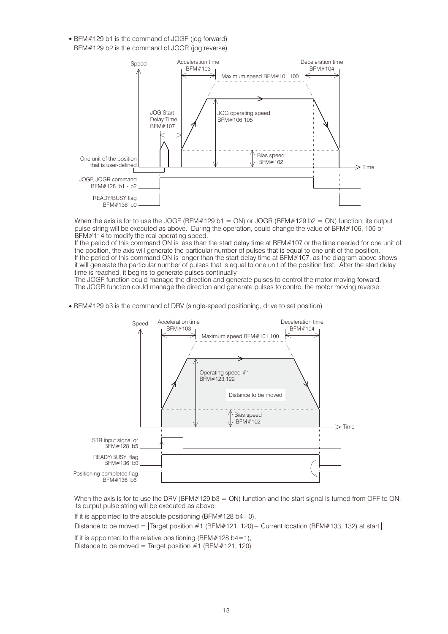BFM#129 b1 is the command of JOGF (jog forward) BFM#129 b2 is the command of JOGR (jog reverse)



When the axis is for to use the JOGF (BFM#129 b1 = ON) or JOGR (BFM#129 b2 = ON) function, its output pulse string will be executed as above. During the operation, could change the value of BFM#106, 105 or BFM#114 to modify the real operating speed.

If the period of this command ON is less than the start delay time at BFM#107 or the time needed for one unit of the position, the axis will generate the particular number of pulses that is equal to one unit of the position. If the period of this command ON is longer than the start delay time at BFM#107, as the diagram above shows, it will generate the particular number of pulses that is equal to one unit of the position first. After the start delay time is reached, it begins to generate pulses continually.

The JOGF function could manage the direction and generate pulses to control the motor moving forward. The JOGR function could manage the direction and generate pulses to control the motor moving reverse.

BFM#129 b3 is the command of DRV (single-speed positioning, drive to set position)



When the axis is for to use the DRV (BFM#129 b3 = ON) function and the start signal is turned from OFF to ON, its output pulse string will be executed as above.

If it is appointed to the absolute positioning (BFM#128 b4=0).

Distance to be moved = Target position #1 (BFM#121, 120)− Current location (BFM#133, 132) at start

If it is appointed to the relative positioning (BFM#128 b4=1),

Distance to be moved = Target position  $#1$  (BFM $#121$ , 120)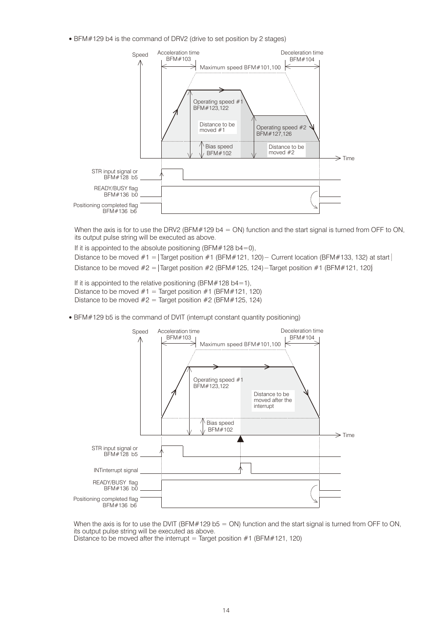BFM#129 b4 is the command of DRV2 (drive to set position by 2 stages)



When the axis is for to use the DRV2 (BFM#129 b4 = ON) function and the start signal is turned from OFF to ON, its output pulse string will be executed as above.

If it is appointed to the absolute positioning (BFM#128 b4=0),

Distance to be moved #1 =  $\text{Target position #1 (BFM#121, 120)} - \text{Current location (BFM#133, 132)}$  at start Distance to be moved #2 = Target position #2 (BFM#125, 124)−Target position #1 (BFM#121, 120)│

If it is appointed to the relative positioning (BFM#128 b4=1), Distance to be moved  $#1 =$  Target position  $#1$  (BFM#121, 120) Distance to be moved  $#2 =$  Target position  $#2$  (BFM $#125$ , 124)

BFM#129 b5 is the command of DVIT (interrupt constant quantity positioning)



When the axis is for to use the DVIT (BFM#129 b5 = ON) function and the start signal is turned from OFF to ON, its output pulse string will be executed as above. Distance to be moved after the interrupt = Target position  $#1$  (BFM $#121$ , 120)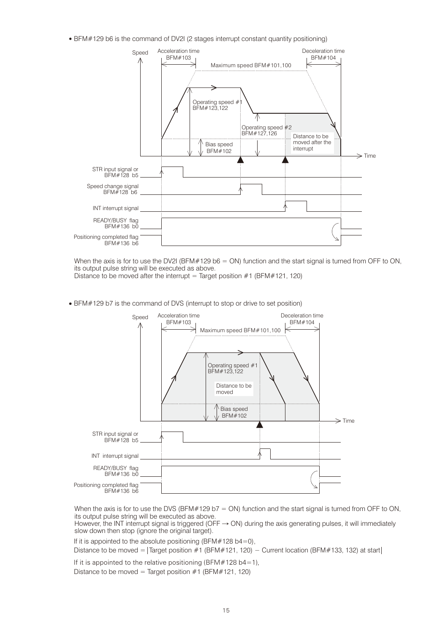BFM#129 b6 is the command of DV2I (2 stages interrupt constant quantity positioning)



When the axis is for to use the DV2I (BFM#129 b6 = ON) function and the start signal is turned from OFF to ON, its output pulse string will be executed as above.

Distance to be moved after the interrupt = Target position  $#1$  (BFM $#121$ , 120)

BFM#129 b7 is the command of DVS (interrupt to stop or drive to set position)



When the axis is for to use the DVS (BFM#129 b7 = ON) function and the start signal is turned from OFF to ON, its output pulse string will be executed as above.

However, the INT interrupt signal is triggered (OFF → ON) during the axis generating pulses, it will immediately slow down then stop (ignore the original target).

If it is appointed to the absolute positioning (BFM $#128$  b4=0).

Distance to be moved =  $\text{Target position #1 (BFM#121, 120)} - \text{Current location (BFM#133, 132)}$  at start

If it is appointed to the relative positioning (BFM#128 b4=1), Distance to be moved = Target position  $#1$  (BFM $#121$ , 120)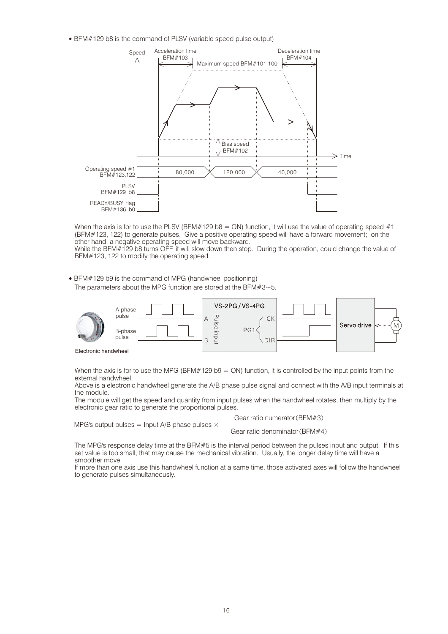BFM#129 b8 is the command of PLSV (variable speed pulse output)



When the axis is for to use the PLSV (BFM#129 b8 = ON) function, it will use the value of operating speed #1 (BFM#123, 122) to generate pulses. Give a positive operating speed will have a forward movement; on the other hand, a negative operating speed will move backward.

While the BFM#129 b8 turns OFF, it will slow down then stop. During the operation, could change the value of BFM#123, 122 to modify the operating speed.

BFM#129 b9 is the command of MPG (handwheel positioning) The parameters about the MPG function are stored at the BFM $#3~$ -5.



When the axis is for to use the MPG (BFM#129 b9 =  $ON$ ) function, it is controlled by the input points from the external handwheel.

Above is a electronic handwheel generate the A/B phase pulse signal and connect with the A/B input terminals at the module.

The module will get the speed and quantity from input pulses when the handwheel rotates, then multiply by the electronic gear ratio to generate the proportional pulses.

MPG's output pulses = Input A/B phase pulses  $\times$ 

Gear ratio numerator(BFM#3)

Gear ratio denominator(BFM#4)

The MPG's response delay time at the BFM#5 is the interval period between the pulses input and output. If this set value is too small, that may cause the mechanical vibration. Usually, the longer delay time will have a smoother move.

If more than one axis use this handwheel function at a same time, those activated axes will follow the handwheel to generate pulses simultaneously.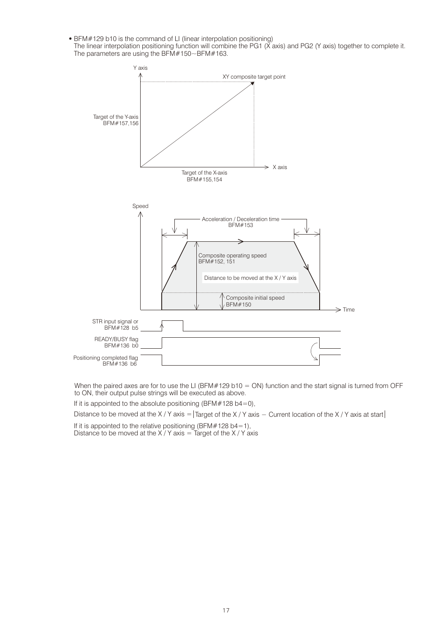- BFM#129 b10 is the command of LI (linear interpolation positioning)
- The linear interpolation positioning function will combine the PG1 (X axis) and PG2 (Y axis) together to complete it. The parameters are using the BFM#150~BFM#163.



When the paired axes are for to use the LI (BFM#129 b10 = ON) function and the start signal is turned from OFF to ON, their output pulse strings will be executed as above.

If it is appointed to the absolute positioning (BFM#128 b4=0),

Distance to be moved at the X / Y axis = Target of the X / Y axis − Current location of the X / Y axis at start

If it is appointed to the relative positioning (BFM#128 b4=1), Distance to be moved at the X / Y axis = Target of the X / Y axis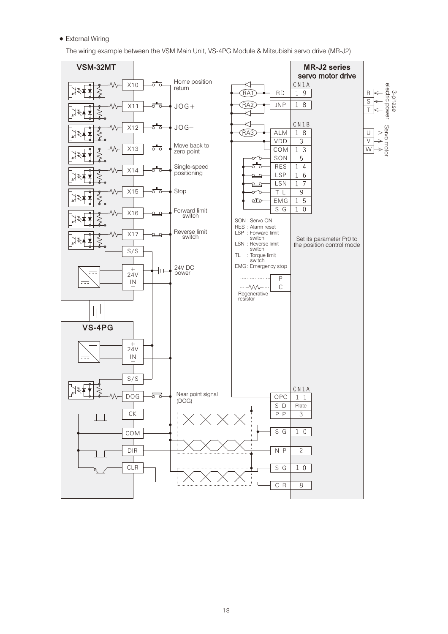External Wiring

The wiring example between the VSM Main Unit, VS-4PG Module & Mitsubishi servo drive (MR-J2)

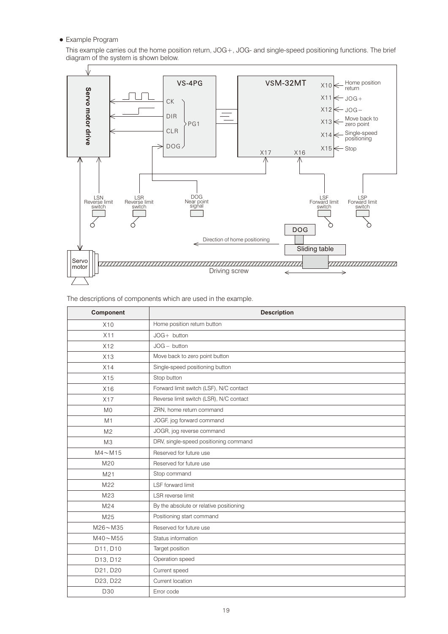Example Program

This example carries out the home position return, JOG+, JOG- and single-speed positioning functions. The brief diagram of the system is shown below.



The descriptions of components which are used in the example.

| Component                | <b>Description</b>                      |
|--------------------------|-----------------------------------------|
| X10                      | Home position return button             |
| X11                      | $JOG+$ button                           |
| X12                      | $JOG - button$                          |
| X13                      | Move back to zero point button          |
| X14                      | Single-speed positioning button         |
| X15                      | Stop button                             |
| X16                      | Forward limit switch (LSF), N/C contact |
| X17                      | Reverse limit switch (LSR), N/C contact |
| M <sub>0</sub>           | ZRN, home return command                |
| M1                       | JOGF, jog forward command               |
| M <sub>2</sub>           | JOGR, jog reverse command               |
| M3                       | DRV, single-speed positioning command   |
| $M4 \sim M15$            | Reserved for future use                 |
| M20                      | Reserved for future use                 |
| M21                      | Stop command                            |
| M22                      | LSF forward limit                       |
| M23                      | LSR reverse limit                       |
| M24                      | By the absolute or relative positioning |
| M25                      | Positioning start command               |
| $M26 \sim M35$           | Reserved for future use                 |
| $M40\nightharpoonup M55$ | Status information                      |
| D11, D10                 | Target position                         |
| D13, D12                 | Operation speed                         |
| D21, D20                 | Current speed                           |
| D23, D22                 | Current location                        |
| D30                      | Error code                              |